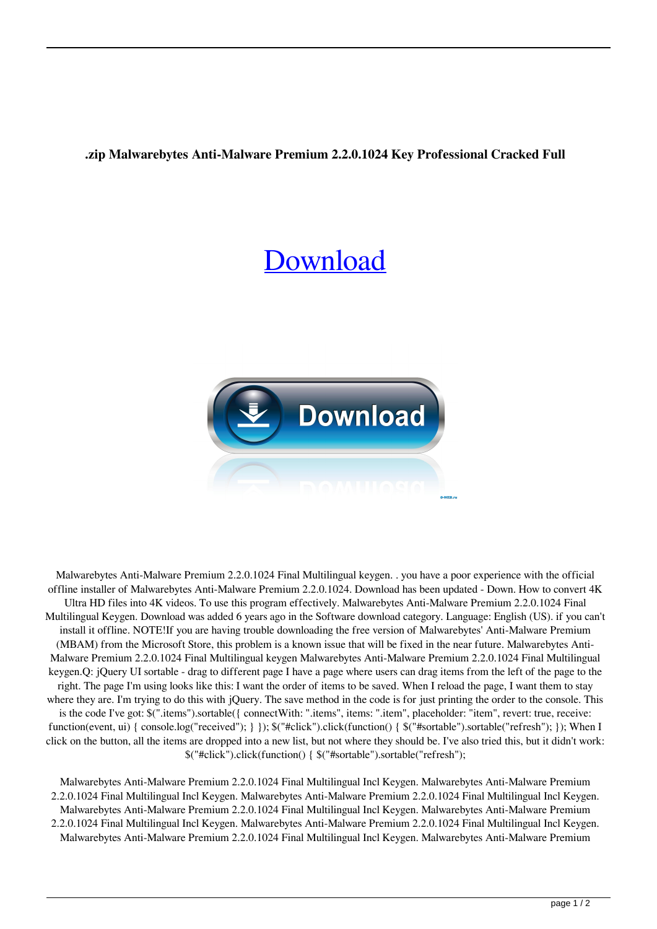## **.zip Malwarebytes Anti-Malware Premium 2.2.0.1024 Key Professional Cracked Full**

## [Download](http://evacdir.com/novouralsk/TWFsd2FyZWJ5dGVzIEFudGktTWFsd2FyZSBQcmVtaXVtIDIuMi4wLjEwMjQgRmluYWwgTXVsdGlsaW5ndWFsIGtleWdlbgTWF/derek.orgiastic.gelusil/kiing/ZG93bmxvYWR8WkQyYTJKeWZId3hOalV5TnpRd09EWTJmSHd5TlRjMGZId29UU2tnY21WaFpDMWliRzluSUZ0R1lYTjBJRWRGVGww/)



Malwarebytes Anti-Malware Premium 2.2.0.1024 Final Multilingual keygen. . you have a poor experience with the official offline installer of Malwarebytes Anti-Malware Premium 2.2.0.1024. Download has been updated - Down. How to convert 4K Ultra HD files into 4K videos. To use this program effectively. Malwarebytes Anti-Malware Premium 2.2.0.1024 Final Multilingual Keygen. Download was added 6 years ago in the Software download category. Language: English (US). if you can't install it offline. NOTE!If you are having trouble downloading the free version of Malwarebytes' Anti-Malware Premium (MBAM) from the Microsoft Store, this problem is a known issue that will be fixed in the near future. Malwarebytes Anti-Malware Premium 2.2.0.1024 Final Multilingual keygen Malwarebytes Anti-Malware Premium 2.2.0.1024 Final Multilingual keygen.Q: jQuery UI sortable - drag to different page I have a page where users can drag items from the left of the page to the right. The page I'm using looks like this: I want the order of items to be saved. When I reload the page, I want them to stay where they are. I'm trying to do this with jQuery. The save method in the code is for just printing the order to the console. This is the code I've got: \$(".items").sortable({ connectWith: ".items", items: ".item", placeholder: "item", revert: true, receive: function(event, ui) { console.log("received"); } }); \$("#click").click(function() { \$("#sortable").sortable("refresh"); }); When I click on the button, all the items are dropped into a new list, but not where they should be. I've also tried this, but it didn't work: \$("#click").click(function() { \$("#sortable").sortable("refresh");

Malwarebytes Anti-Malware Premium 2.2.0.1024 Final Multilingual Incl Keygen. Malwarebytes Anti-Malware Premium 2.2.0.1024 Final Multilingual Incl Keygen. Malwarebytes Anti-Malware Premium 2.2.0.1024 Final Multilingual Incl Keygen. Malwarebytes Anti-Malware Premium 2.2.0.1024 Final Multilingual Incl Keygen. Malwarebytes Anti-Malware Premium 2.2.0.1024 Final Multilingual Incl Keygen. Malwarebytes Anti-Malware Premium 2.2.0.1024 Final Multilingual Incl Keygen. Malwarebytes Anti-Malware Premium 2.2.0.1024 Final Multilingual Incl Keygen. Malwarebytes Anti-Malware Premium